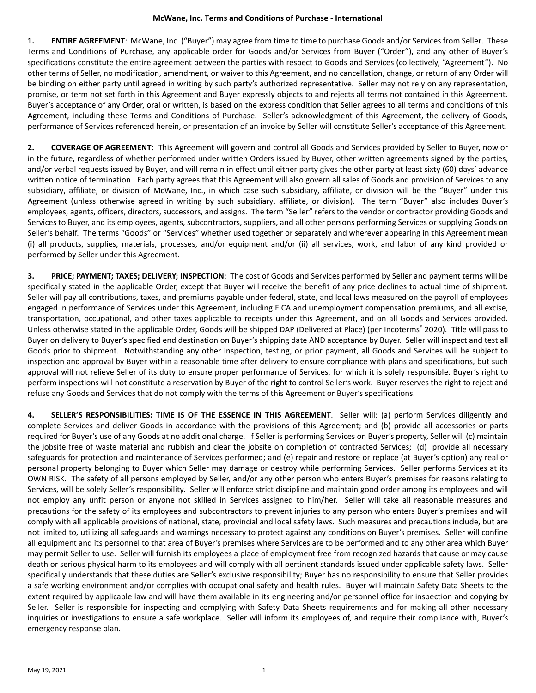**1. ENTIRE AGREEMENT**: McWane, Inc. ("Buyer") may agree from time to time to purchase Goods and/or Services from Seller. These Terms and Conditions of Purchase, any applicable order for Goods and/or Services from Buyer ("Order"), and any other of Buyer's specifications constitute the entire agreement between the parties with respect to Goods and Services (collectively, "Agreement"). No other terms of Seller, no modification, amendment, or waiver to this Agreement, and no cancellation, change, or return of any Order will be binding on either party until agreed in writing by such party's authorized representative. Seller may not rely on any representation, promise, or term not set forth in this Agreement and Buyer expressly objects to and rejects all terms not contained in this Agreement. Buyer's acceptance of any Order, oral or written, is based on the express condition that Seller agrees to all terms and conditions of this Agreement, including these Terms and Conditions of Purchase. Seller's acknowledgment of this Agreement, the delivery of Goods, performance of Services referenced herein, or presentation of an invoice by Seller will constitute Seller's acceptance of this Agreement.

**2. COVERAGE OF AGREEMENT**: This Agreement will govern and control all Goods and Services provided by Seller to Buyer, now or in the future, regardless of whether performed under written Orders issued by Buyer, other written agreements signed by the parties, and/or verbal requests issued by Buyer, and will remain in effect until either party gives the other party at least sixty (60) days' advance written notice of termination. Each party agrees that this Agreement will also govern all sales of Goods and provision of Services to any subsidiary, affiliate, or division of McWane, Inc., in which case such subsidiary, affiliate, or division will be the "Buyer" under this Agreement (unless otherwise agreed in writing by such subsidiary, affiliate, or division). The term "Buyer" also includes Buyer's employees, agents, officers, directors, successors, and assigns. The term "Seller" refers to the vendor or contractor providing Goods and Services to Buyer, and its employees, agents, subcontractors, suppliers, and all other persons performing Services or supplying Goods on Seller's behalf. The terms "Goods" or "Services" whether used together or separately and wherever appearing in this Agreement mean (i) all products, supplies, materials, processes, and/or equipment and/or (ii) all services, work, and labor of any kind provided or performed by Seller under this Agreement.

**3. PRICE; PAYMENT; TAXES; DELIVERY; INSPECTION**: The cost of Goods and Services performed by Seller and payment terms will be specifically stated in the applicable Order, except that Buyer will receive the benefit of any price declines to actual time of shipment. Seller will pay all contributions, taxes, and premiums payable under federal, state, and local laws measured on the payroll of employees engaged in performance of Services under this Agreement, including FICA and unemployment compensation premiums, and all excise, transportation, occupational, and other taxes applicable to receipts under this Agreement, and on all Goods and Services provided. Unless otherwise stated in the applicable Order, Goods will be shipped DAP (Delivered at Place) (per Incoterms® 2020). Title will pass to Buyer on delivery to Buyer's specified end destination on Buyer's shipping date AND acceptance by Buyer. Seller will inspect and test all Goods prior to shipment. Notwithstanding any other inspection, testing, or prior payment, all Goods and Services will be subject to inspection and approval by Buyer within a reasonable time after delivery to ensure compliance with plans and specifications, but such approval will not relieve Seller of its duty to ensure proper performance of Services, for which it is solely responsible. Buyer's right to perform inspections will not constitute a reservation by Buyer of the right to control Seller's work. Buyer reserves the right to reject and refuse any Goods and Services that do not comply with the terms of this Agreement or Buyer's specifications.

**4. SELLER'S RESPONSIBILITIES: TIME IS OF THE ESSENCE IN THIS AGREEMENT**. Seller will: (a) perform Services diligently and complete Services and deliver Goods in accordance with the provisions of this Agreement; and (b) provide all accessories or parts required for Buyer's use of any Goods at no additional charge. If Seller is performing Services on Buyer's property, Seller will (c) maintain the jobsite free of waste material and rubbish and clear the jobsite on completion of contracted Services; (d) provide all necessary safeguards for protection and maintenance of Services performed; and (e) repair and restore or replace (at Buyer's option) any real or personal property belonging to Buyer which Seller may damage or destroy while performing Services. Seller performs Services at its OWN RISK. The safety of all persons employed by Seller, and/or any other person who enters Buyer's premises for reasons relating to Services, will be solely Seller's responsibility. Seller will enforce strict discipline and maintain good order among its employees and will not employ any unfit person or anyone not skilled in Services assigned to him/her. Seller will take all reasonable measures and precautions for the safety of its employees and subcontractors to prevent injuries to any person who enters Buyer's premises and will comply with all applicable provisions of national, state, provincial and local safety laws. Such measures and precautions include, but are not limited to, utilizing all safeguards and warnings necessary to protect against any conditions on Buyer's premises. Seller will confine all equipment and its personnel to that area of Buyer's premises where Services are to be performed and to any other area which Buyer may permit Seller to use. Seller will furnish its employees a place of employment free from recognized hazards that cause or may cause death or serious physical harm to its employees and will comply with all pertinent standards issued under applicable safety laws. Seller specifically understands that these duties are Seller's exclusive responsibility; Buyer has no responsibility to ensure that Seller provides a safe working environment and/or complies with occupational safety and health rules. Buyer will maintain Safety Data Sheets to the extent required by applicable law and will have them available in its engineering and/or personnel office for inspection and copying by Seller. Seller is responsible for inspecting and complying with Safety Data Sheets requirements and for making all other necessary inquiries or investigations to ensure a safe workplace. Seller will inform its employees of, and require their compliance with, Buyer's emergency response plan.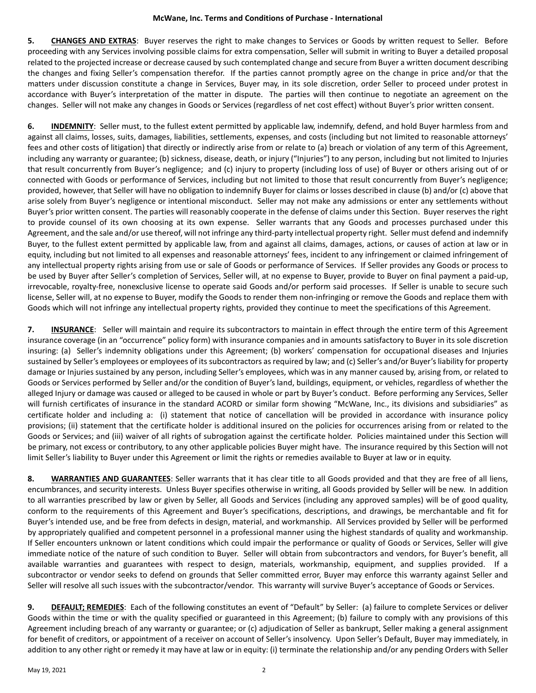## **McWane, Inc. Terms and Conditions of Purchase - International**

**5. CHANGES AND EXTRAS**: Buyer reserves the right to make changes to Services or Goods by written request to Seller. Before proceeding with any Services involving possible claims for extra compensation, Seller will submit in writing to Buyer a detailed proposal related to the projected increase or decrease caused by such contemplated change and secure from Buyer a written document describing the changes and fixing Seller's compensation therefor. If the parties cannot promptly agree on the change in price and/or that the matters under discussion constitute a change in Services, Buyer may, in its sole discretion, order Seller to proceed under protest in accordance with Buyer's interpretation of the matter in dispute. The parties will then continue to negotiate an agreement on the changes. Seller will not make any changes in Goods or Services (regardless of net cost effect) without Buyer's prior written consent.

**6. INDEMNITY**: Seller must, to the fullest extent permitted by applicable law, indemnify, defend, and hold Buyer harmless from and against all claims, losses, suits, damages, liabilities, settlements, expenses, and costs (including but not limited to reasonable attorneys' fees and other costs of litigation) that directly or indirectly arise from or relate to (a) breach or violation of any term of this Agreement, including any warranty or guarantee; (b) sickness, disease, death, or injury ("Injuries") to any person, including but not limited to Injuries that result concurrently from Buyer's negligence; and (c) injury to property (including loss of use) of Buyer or others arising out of or connected with Goods or performance of Services, including but not limited to those that result concurrently from Buyer's negligence; provided, however, that Seller will have no obligation to indemnify Buyer for claims or losses described in clause (b) and/or (c) above that arise solely from Buyer's negligence or intentional misconduct. Seller may not make any admissions or enter any settlements without Buyer's prior written consent. The parties will reasonably cooperate in the defense of claims under this Section. Buyer reserves the right to provide counsel of its own choosing at its own expense. Seller warrants that any Goods and processes purchased under this Agreement, and the sale and/or use thereof, will not infringe any third-party intellectual property right. Seller must defend and indemnify Buyer, to the fullest extent permitted by applicable law, from and against all claims, damages, actions, or causes of action at law or in equity, including but not limited to all expenses and reasonable attorneys' fees, incident to any infringement or claimed infringement of any intellectual property rights arising from use or sale of Goods or performance of Services. If Seller provides any Goods or process to be used by Buyer after Seller's completion of Services, Seller will, at no expense to Buyer, provide to Buyer on final payment a paid-up, irrevocable, royalty-free, nonexclusive license to operate said Goods and/or perform said processes. If Seller is unable to secure such license, Seller will, at no expense to Buyer, modify the Goods to render them non-infringing or remove the Goods and replace them with Goods which will not infringe any intellectual property rights, provided they continue to meet the specifications of this Agreement.

**7. INSURANCE**: Seller will maintain and require its subcontractors to maintain in effect through the entire term of this Agreement insurance coverage (in an "occurrence" policy form) with insurance companies and in amounts satisfactory to Buyer in its sole discretion insuring: (a) Seller's indemnity obligations under this Agreement; (b) workers' compensation for occupational diseases and Injuries sustained by Seller's employees or employees of its subcontractors as required by law; and (c) Seller's and/or Buyer's liability for property damage or Injuries sustained by any person, including Seller's employees, which was in any manner caused by, arising from, or related to Goods or Services performed by Seller and/or the condition of Buyer's land, buildings, equipment, or vehicles, regardless of whether the alleged Injury or damage was caused or alleged to be caused in whole or part by Buyer's conduct. Before performing any Services, Seller will furnish certificates of insurance in the standard ACORD or similar form showing "McWane, Inc., its divisions and subsidiaries" as certificate holder and including a: (i) statement that notice of cancellation will be provided in accordance with insurance policy provisions; (ii) statement that the certificate holder is additional insured on the policies for occurrences arising from or related to the Goods or Services; and (iii) waiver of all rights of subrogation against the certificate holder. Policies maintained under this Section will be primary, not excess or contributory, to any other applicable policies Buyer might have. The insurance required by this Section will not limit Seller's liability to Buyer under this Agreement or limit the rights or remedies available to Buyer at law or in equity.

**8. WARRANTIES AND GUARANTEES**: Seller warrants that it has clear title to all Goods provided and that they are free of all liens, encumbrances, and security interests. Unless Buyer specifies otherwise in writing, all Goods provided by Seller will be new. In addition to all warranties prescribed by law or given by Seller, all Goods and Services (including any approved samples) will be of good quality, conform to the requirements of this Agreement and Buyer's specifications, descriptions, and drawings, be merchantable and fit for Buyer's intended use, and be free from defects in design, material, and workmanship. All Services provided by Seller will be performed by appropriately qualified and competent personnel in a professional manner using the highest standards of quality and workmanship. If Seller encounters unknown or latent conditions which could impair the performance or quality of Goods or Services, Seller will give immediate notice of the nature of such condition to Buyer. Seller will obtain from subcontractors and vendors, for Buyer's benefit, all available warranties and guarantees with respect to design, materials, workmanship, equipment, and supplies provided. If a subcontractor or vendor seeks to defend on grounds that Seller committed error, Buyer may enforce this warranty against Seller and Seller will resolve all such issues with the subcontractor/vendor. This warranty will survive Buyer's acceptance of Goods or Services.

**9. DEFAULT; REMEDIES**: Each of the following constitutes an event of "Default" by Seller: (a) failure to complete Services or deliver Goods within the time or with the quality specified or guaranteed in this Agreement; (b) failure to comply with any provisions of this Agreement including breach of any warranty or guarantee; or (c) adjudication of Seller as bankrupt, Seller making a general assignment for benefit of creditors, or appointment of a receiver on account of Seller's insolvency. Upon Seller's Default, Buyer may immediately, in addition to any other right or remedy it may have at law or in equity: (i) terminate the relationship and/or any pending Orders with Seller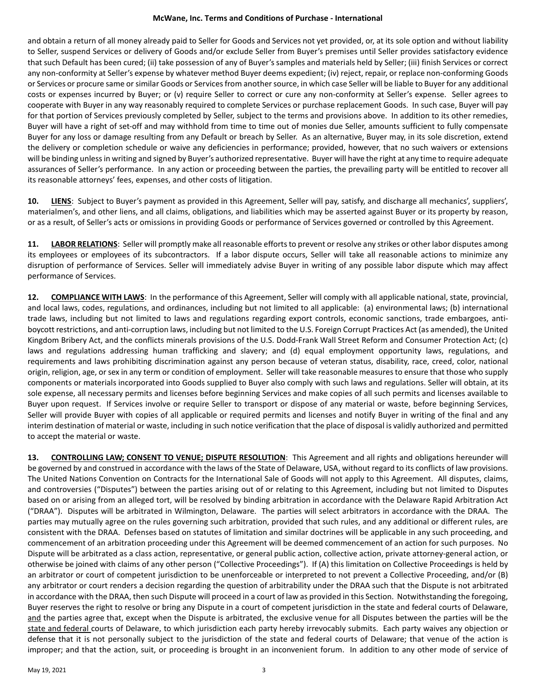## **McWane, Inc. Terms and Conditions of Purchase - International**

and obtain a return of all money already paid to Seller for Goods and Services not yet provided, or, at its sole option and without liability to Seller, suspend Services or delivery of Goods and/or exclude Seller from Buyer's premises until Seller provides satisfactory evidence that such Default has been cured; (ii) take possession of any of Buyer's samples and materials held by Seller; (iii) finish Services or correct any non-conformity at Seller's expense by whatever method Buyer deems expedient; (iv) reject, repair, or replace non-conforming Goods or Services or procure same or similar Goods or Services from another source, in which case Seller will be liable to Buyer for any additional costs or expenses incurred by Buyer; or (v) require Seller to correct or cure any non-conformity at Seller's expense. Seller agrees to cooperate with Buyer in any way reasonably required to complete Services or purchase replacement Goods. In such case, Buyer will pay for that portion of Services previously completed by Seller, subject to the terms and provisions above. In addition to its other remedies, Buyer will have a right of set-off and may withhold from time to time out of monies due Seller, amounts sufficient to fully compensate Buyer for any loss or damage resulting from any Default or breach by Seller. As an alternative, Buyer may, in its sole discretion, extend the delivery or completion schedule or waive any deficiencies in performance; provided, however, that no such waivers or extensions will be binding unless in writing and signed by Buyer's authorized representative. Buyer will have the right at any time to require adequate assurances of Seller's performance. In any action or proceeding between the parties, the prevailing party will be entitled to recover all its reasonable attorneys' fees, expenses, and other costs of litigation.

**10. LIENS**: Subject to Buyer's payment as provided in this Agreement, Seller will pay, satisfy, and discharge all mechanics', suppliers', materialmen's, and other liens, and all claims, obligations, and liabilities which may be asserted against Buyer or its property by reason, or as a result, of Seller's acts or omissions in providing Goods or performance of Services governed or controlled by this Agreement.

**11. LABOR RELATIONS**: Seller will promptly make all reasonable efforts to prevent or resolve any strikes or other labor disputes among its employees or employees of its subcontractors. If a labor dispute occurs, Seller will take all reasonable actions to minimize any disruption of performance of Services. Seller will immediately advise Buyer in writing of any possible labor dispute which may affect performance of Services.

**12. COMPLIANCE WITH LAWS**: In the performance of this Agreement, Seller will comply with all applicable national, state, provincial, and local laws, codes, regulations, and ordinances, including but not limited to all applicable: (a) environmental laws; (b) international trade laws, including but not limited to laws and regulations regarding export controls, economic sanctions, trade embargoes, antiboycott restrictions, and anti-corruption laws, including but not limited to the U.S. Foreign Corrupt Practices Act (as amended), the United Kingdom Bribery Act, and the conflicts minerals provisions of the U.S. Dodd-Frank Wall Street Reform and Consumer Protection Act; (c) laws and regulations addressing human trafficking and slavery; and (d) equal employment opportunity laws, regulations, and requirements and laws prohibiting discrimination against any person because of veteran status, disability, race, creed, color, national origin, religion, age, or sex in any term or condition of employment. Seller will take reasonable measures to ensure that those who supply components or materials incorporated into Goods supplied to Buyer also comply with such laws and regulations. Seller will obtain, at its sole expense, all necessary permits and licenses before beginning Services and make copies of all such permits and licenses available to Buyer upon request. If Services involve or require Seller to transport or dispose of any material or waste, before beginning Services, Seller will provide Buyer with copies of all applicable or required permits and licenses and notify Buyer in writing of the final and any interim destination of material or waste, including in such notice verification that the place of disposal is validly authorized and permitted to accept the material or waste.

**13. CONTROLLING LAW; CONSENT TO VENUE; DISPUTE RESOLUTION**: This Agreement and all rights and obligations hereunder will be governed by and construed in accordance with the laws of the State of Delaware, USA, without regard to its conflicts of law provisions. The United Nations Convention on Contracts for the International Sale of Goods will not apply to this Agreement. All disputes, claims, and controversies ("Disputes") between the parties arising out of or relating to this Agreement, including but not limited to Disputes based on or arising from an alleged tort, will be resolved by binding arbitration in accordance with the Delaware Rapid Arbitration Act ("DRAA"). Disputes will be arbitrated in Wilmington, Delaware. The parties will select arbitrators in accordance with the DRAA. The parties may mutually agree on the rules governing such arbitration, provided that such rules, and any additional or different rules, are consistent with the DRAA. Defenses based on statutes of limitation and similar doctrines will be applicable in any such proceeding, and commencement of an arbitration proceeding under this Agreement will be deemed commencement of an action for such purposes. No Dispute will be arbitrated as a class action, representative, or general public action, collective action, private attorney-general action, or otherwise be joined with claims of any other person ("Collective Proceedings"). If (A) this limitation on Collective Proceedings is held by an arbitrator or court of competent jurisdiction to be unenforceable or interpreted to not prevent a Collective Proceeding, and/or (B) any arbitrator or court renders a decision regarding the question of arbitrability under the DRAA such that the Dispute is not arbitrated in accordance with the DRAA, then such Dispute will proceed in a court of law as provided in this Section. Notwithstanding the foregoing, Buyer reserves the right to resolve or bring any Dispute in a court of competent jurisdiction in the state and federal courts of Delaware, and the parties agree that, except when the Dispute is arbitrated, the exclusive venue for all Disputes between the parties will be the state and federal courts of Delaware, to which jurisdiction each party hereby irrevocably submits. Each party waives any objection or defense that it is not personally subject to the jurisdiction of the state and federal courts of Delaware; that venue of the action is improper; and that the action, suit, or proceeding is brought in an inconvenient forum. In addition to any other mode of service of